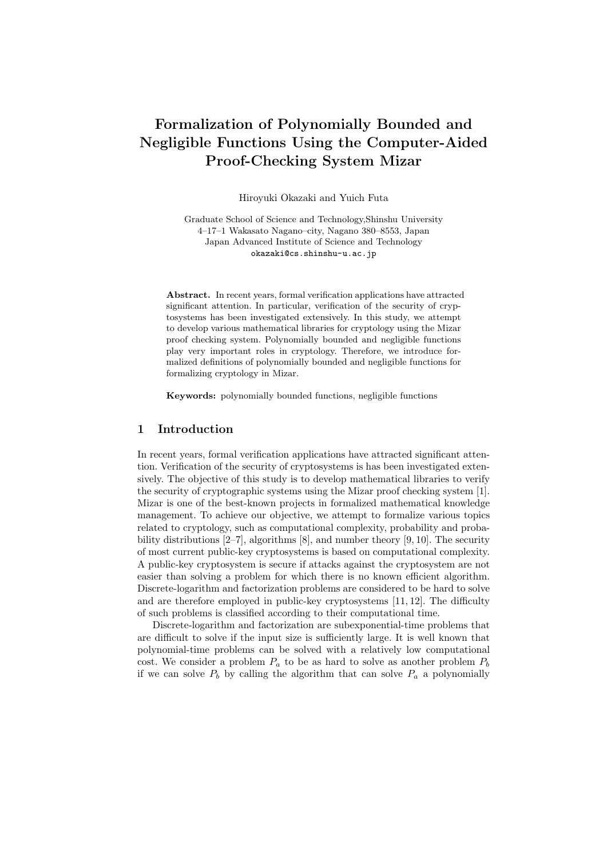# **Formalization of Polynomially Bounded and Negligible Functions Using the Computer-Aided Proof-Checking System Mizar**

Hiroyuki Okazaki and Yuich Futa

Graduate School of Science and Technology,Shinshu University 4–17–1 Wakasato Nagano–city, Nagano 380–8553, Japan Japan Advanced Institute of Science and Technology okazaki@cs.shinshu-u.ac.jp

**Abstract.** In recent years, formal verification applications have attracted significant attention. In particular, verification of the security of cryptosystems has been investigated extensively. In this study, we attempt to develop various mathematical libraries for cryptology using the Mizar proof checking system. Polynomially bounded and negligible functions play very important roles in cryptology. Therefore, we introduce formalized definitions of polynomially bounded and negligible functions for formalizing cryptology in Mizar.

**Keywords:** polynomially bounded functions, negligible functions

### **1 Introduction**

In recent years, formal verification applications have attracted significant attention. Verification of the security of cryptosystems is has been investigated extensively. The objective of this study is to develop mathematical libraries to verify the security of cryptographic systems using the Mizar proof checking system [1]. Mizar is one of the best-known projects in formalized mathematical knowledge management. To achieve our objective, we attempt to formalize various topics related to cryptology, such as computational complexity, probability and probability distributions [2–7], algorithms [8], and number theory [9, 10]. The security of most current public-key cryptosystems is based on computational complexity. A public-key cryptosystem is secure if attacks against the cryptosystem are not easier than solving a problem for which there is no known efficient algorithm. Discrete-logarithm and factorization problems are considered to be hard to solve and are therefore employed in public-key cryptosystems [11, 12]. The difficulty of such problems is classified according to their computational time.

Discrete-logarithm and factorization are subexponential-time problems that are difficult to solve if the input size is sufficiently large. It is well known that polynomial-time problems can be solved with a relatively low computational cost. We consider a problem  $P_a$  to be as hard to solve as another problem  $P_b$ if we can solve  $P_b$  by calling the algorithm that can solve  $P_a$  a polynomially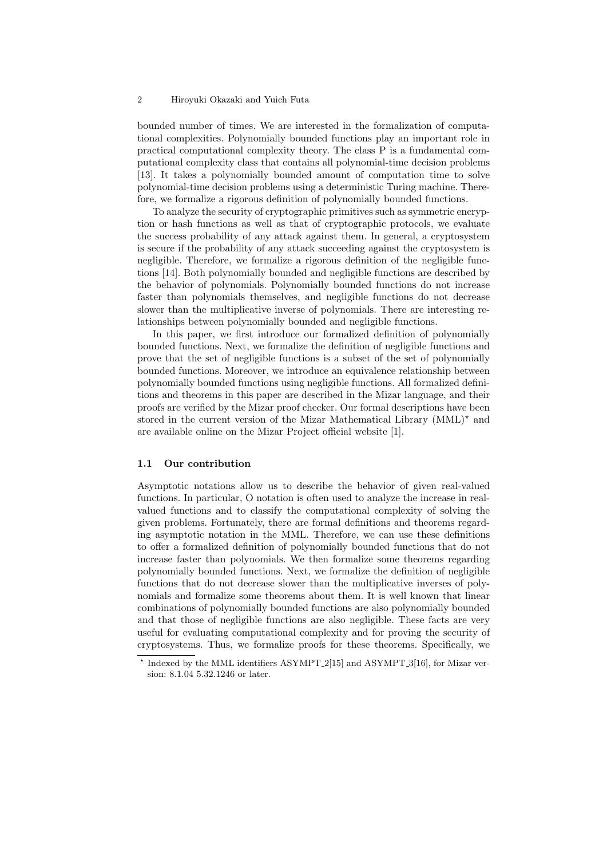bounded number of times. We are interested in the formalization of computational complexities. Polynomially bounded functions play an important role in practical computational complexity theory. The class P is a fundamental computational complexity class that contains all polynomial-time decision problems [13]. It takes a polynomially bounded amount of computation time to solve polynomial-time decision problems using a deterministic Turing machine. Therefore, we formalize a rigorous definition of polynomially bounded functions.

To analyze the security of cryptographic primitives such as symmetric encryption or hash functions as well as that of cryptographic protocols, we evaluate the success probability of any attack against them. In general, a cryptosystem is secure if the probability of any attack succeeding against the cryptosystem is negligible. Therefore, we formalize a rigorous definition of the negligible functions [14]. Both polynomially bounded and negligible functions are described by the behavior of polynomials. Polynomially bounded functions do not increase faster than polynomials themselves, and negligible functions do not decrease slower than the multiplicative inverse of polynomials. There are interesting relationships between polynomially bounded and negligible functions.

In this paper, we first introduce our formalized definition of polynomially bounded functions. Next, we formalize the definition of negligible functions and prove that the set of negligible functions is a subset of the set of polynomially bounded functions. Moreover, we introduce an equivalence relationship between polynomially bounded functions using negligible functions. All formalized definitions and theorems in this paper are described in the Mizar language, and their proofs are verified by the Mizar proof checker. Our formal descriptions have been stored in the current version of the Mizar Mathematical Library (MML)*<sup>⋆</sup>* and are available online on the Mizar Project official website [1].

### **1.1 Our contribution**

Asymptotic notations allow us to describe the behavior of given real-valued functions. In particular, O notation is often used to analyze the increase in realvalued functions and to classify the computational complexity of solving the given problems. Fortunately, there are formal definitions and theorems regarding asymptotic notation in the MML. Therefore, we can use these definitions to offer a formalized definition of polynomially bounded functions that do not increase faster than polynomials. We then formalize some theorems regarding polynomially bounded functions. Next, we formalize the definition of negligible functions that do not decrease slower than the multiplicative inverses of polynomials and formalize some theorems about them. It is well known that linear combinations of polynomially bounded functions are also polynomially bounded and that those of negligible functions are also negligible. These facts are very useful for evaluating computational complexity and for proving the security of cryptosystems. Thus, we formalize proofs for these theorems. Specifically, we

<sup>&</sup>lt;sup>\*</sup> Indexed by the MML identifiers ASYMPT<sub>-2</sub>[15] and ASYMPT<sub>-3</sub>[16], for Mizar version: 8.1.04 5.32.1246 or later.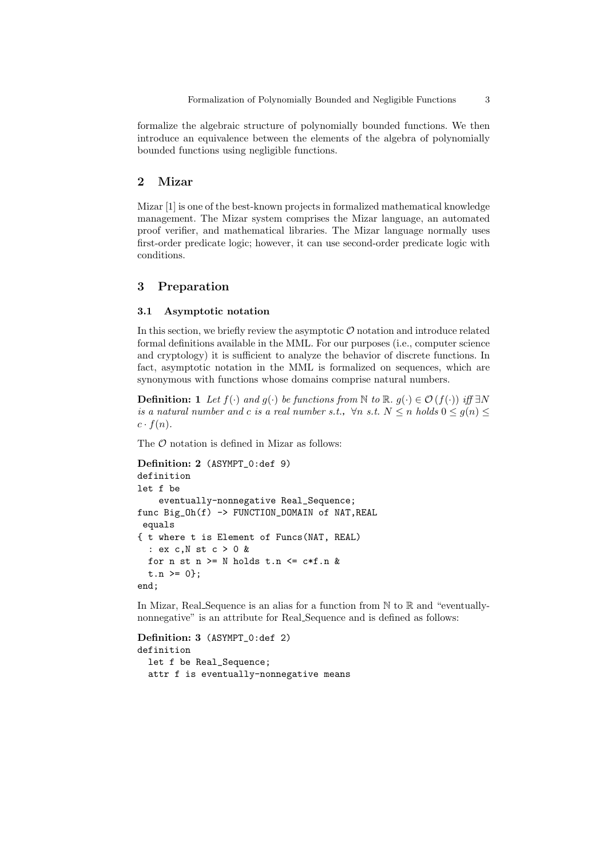formalize the algebraic structure of polynomially bounded functions. We then introduce an equivalence between the elements of the algebra of polynomially bounded functions using negligible functions.

### **2 Mizar**

Mizar [1] is one of the best-known projects in formalized mathematical knowledge management. The Mizar system comprises the Mizar language, an automated proof verifier, and mathematical libraries. The Mizar language normally uses first-order predicate logic; however, it can use second-order predicate logic with conditions.

# **3 Preparation**

#### **3.1 Asymptotic notation**

In this section, we briefly review the asymptotic  $O$  notation and introduce related formal definitions available in the MML. For our purposes (i.e., computer science and cryptology) it is sufficient to analyze the behavior of discrete functions. In fact, asymptotic notation in the MML is formalized on sequences, which are synonymous with functions whose domains comprise natural numbers.

**Definition:** 1 *Let*  $f(\cdot)$  *and*  $g(\cdot)$  *be functions from*  $\mathbb N$  *to*  $\mathbb R$ *.*  $g(\cdot) \in \mathcal O(f(\cdot))$  *iff*  $\exists N$ *is a natural number and c is a real number s.t.,*  $\forall n \text{ s.t. } N \leq n \text{ holds } 0 \leq g(n) \leq$  $c \cdot f(n)$ .

The  $\mathcal O$  notation is defined in Mizar as follows:

```
Definition: 2 (ASYMPT_0:def 9)
definition
let f be
    eventually-nonnegative Real_Sequence;
func Big Oh(f) -> FUNCTION DOMAIN of NAT, REAL
equals
{ t where t is Element of Funcs(NAT, REAL)
  : ex c,N st c > 0 &
 for n st n >= N holds t.n <= c*f.n &
  t.n \ge 0;
end;
```
In Mizar, Real Sequence is an alias for a function from  $\mathbb N$  to  $\mathbb R$  and "eventuallynonnegative" is an attribute for Real Sequence and is defined as follows:

```
Definition: 3 (ASYMPT_0:def 2)
definition
  let f be Real_Sequence;
  attr f is eventually-nonnegative means
```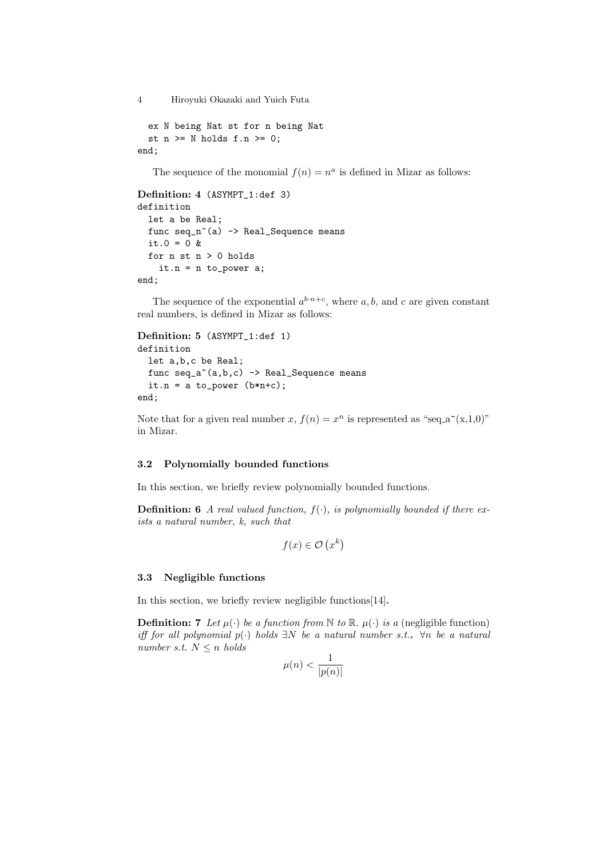```
ex N being Nat st for n being Nat
  st n \geq N holds f.n \geq 0;
end;
```
The sequence of the monomial  $f(n) = n^a$  is defined in Mizar as follows:

```
Definition: 4 (ASYMPT_1:def 3)
definition
  let a be Real;
  func seq_n^(a) -> Real_Sequence means
  it.0 = 0 &
  for n st n > 0 holds
    it.n = n to_power a;
end;
```
The sequence of the exponential  $a^{b \cdot n+c}$ , where a, b, and c are given constant real numbers, is defined in Mizar as follows:

```
Definition: 5 (ASYMPT_1:def 1)
definition
  let a,b,c be Real;
  func seq_a^(a,b,c) -> Real_Sequence means
  it.n = a to_power (b*n+c);
end;
```
Note that for a given real number *x*,  $f(n) = x^n$  is represented as "seq<sub>-</sub>a<sup> $\hat{ }$ </sup>(x,1,0)" in Mizar.

## **3.2 Polynomially bounded functions**

In this section, we briefly review polynomially bounded functions.

**Definition: 6** *A real valued function,*  $f(\cdot)$ *, is polynomially bounded if there exists a natural number, k, such that*

$$
f(x) \in \mathcal{O}\left(x^k\right)
$$

### **3.3 Negligible functions**

In this section, we briefly review negligible functions[14].

**Definition: 7** *Let*  $\mu$ (*·*) *be a function from* N *to* R*.*  $\mu$ (*·*) *is a* (negligible function) *iff for all polynomial p*(*·*) *holds ∃N be a natural number s.t.*,*∀n be a natural number s.t.*  $N \leq n$  *holds* 

$$
\mu(n)<\frac{1}{|p(n)|}
$$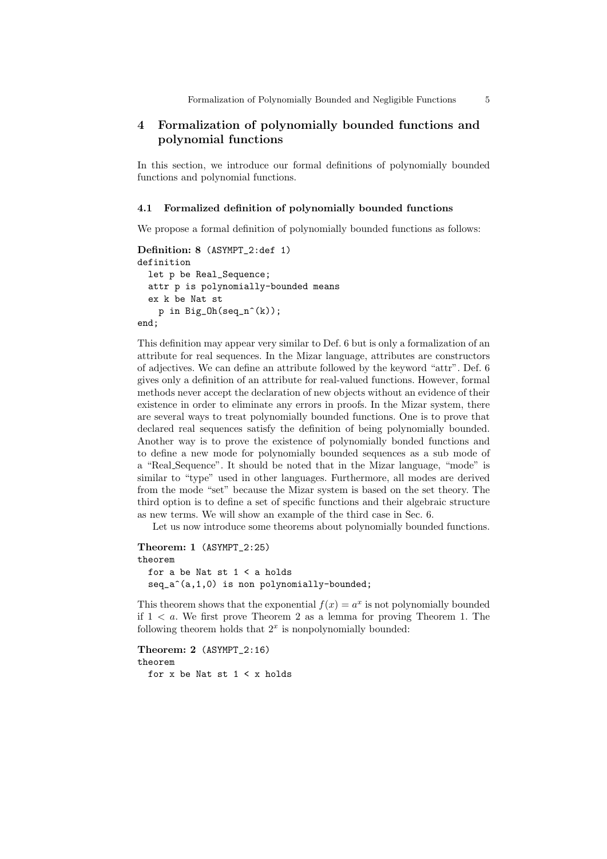# **4 Formalization of polynomially bounded functions and polynomial functions**

In this section, we introduce our formal definitions of polynomially bounded functions and polynomial functions.

#### **4.1 Formalized definition of polynomially bounded functions**

We propose a formal definition of polynomially bounded functions as follows:

```
Definition: 8 (ASYMPT_2:def 1)
definition
  let p be Real_Sequence;
  attr p is polynomially-bounded means
  ex k be Nat st
    p in Big_Oh(seq_n^(k));
end;
```
This definition may appear very similar to Def. 6 but is only a formalization of an attribute for real sequences. In the Mizar language, attributes are constructors of adjectives. We can define an attribute followed by the keyword "attr". Def. 6 gives only a definition of an attribute for real-valued functions. However, formal methods never accept the declaration of new objects without an evidence of their existence in order to eliminate any errors in proofs. In the Mizar system, there are several ways to treat polynomially bounded functions. One is to prove that declared real sequences satisfy the definition of being polynomially bounded. Another way is to prove the existence of polynomially bonded functions and to define a new mode for polynomially bounded sequences as a sub mode of a "Real Sequence". It should be noted that in the Mizar language, "mode" is similar to "type" used in other languages. Furthermore, all modes are derived from the mode "set" because the Mizar system is based on the set theory. The third option is to define a set of specific functions and their algebraic structure as new terms. We will show an example of the third case in Sec. 6.

Let us now introduce some theorems about polynomially bounded functions.

```
Theorem: 1 (ASYMPT_2:25)
theorem
 for a be Nat st 1 < a holds
 seq_a^(a,1,0) is non polynomially-bounded;
```
This theorem shows that the exponential  $f(x) = a^x$  is not polynomially bounded if 1 *< a*. We first prove Theorem 2 as a lemma for proving Theorem 1. The following theorem holds that  $2^x$  is nonpolynomially bounded:

```
Theorem: 2 (ASYMPT_2:16)
theorem
 for x be Nat st 1 < x holds
```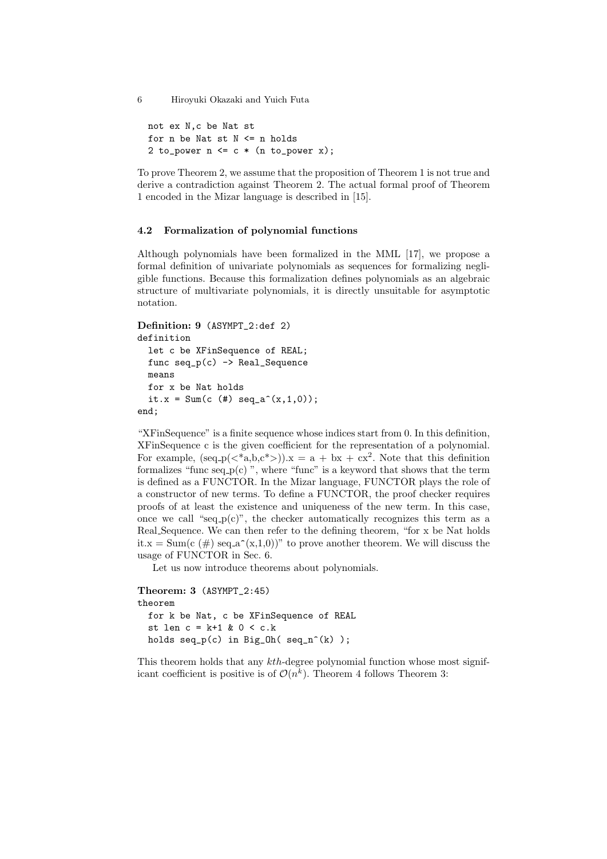```
not ex N,c be Nat st
for n be Nat st N \leq n holds
2 to_power n \leq c * (n \text{ to\_power x});
```
To prove Theorem 2, we assume that the proposition of Theorem 1 is not true and derive a contradiction against Theorem 2. The actual formal proof of Theorem 1 encoded in the Mizar language is described in [15].

### **4.2 Formalization of polynomial functions**

Although polynomials have been formalized in the MML [17], we propose a formal definition of univariate polynomials as sequences for formalizing negligible functions. Because this formalization defines polynomials as an algebraic structure of multivariate polynomials, it is directly unsuitable for asymptotic notation.

```
Definition: 9 (ASYMPT_2:def 2)
definition
 let c be XFinSequence of REAL;
 func seq_p(c) -> Real_Sequence
 means
 for x be Nat holds
 it.x = Sum(c ( #) seq_a^(x,1,0));end;
```
"XFinSequence" is a finite sequence whose indices start from 0. In this definition, XFinSequence c is the given coefficient for the representation of a polynomial. For example,  $(\text{seq}_p(<^*a,b,c^*)$ ). $x = a + bx + cx^2$ . Note that this definition formalizes "func seq<sub>-p(c)</sub>", where "func" is a keyword that shows that the term is defined as a FUNCTOR. In the Mizar language, FUNCTOR plays the role of a constructor of new terms. To define a FUNCTOR, the proof checker requires proofs of at least the existence and uniqueness of the new term. In this case, once we call "seq  $p(c)$ ", the checker automatically recognizes this term as a Real Sequence. We can then refer to the defining theorem, "for x be Nat holds it.x = Sum(c (#) seq.a^(x,1,0))" to prove another theorem. We will discuss the usage of FUNCTOR in Sec. 6.

Let us now introduce theorems about polynomials.

```
Theorem: 3 (ASYMPT_2:45)
theorem
 for k be Nat, c be XFinSequence of REAL
 st len c = k+1 & 0 < c.k
 holds seq_p(c) in Big_0(h(seq_n^{-(k)}));
```
This theorem holds that any *kth*-degree polynomial function whose most significant coefficient is positive is of  $\mathcal{O}(n^k)$ . Theorem 4 follows Theorem 3: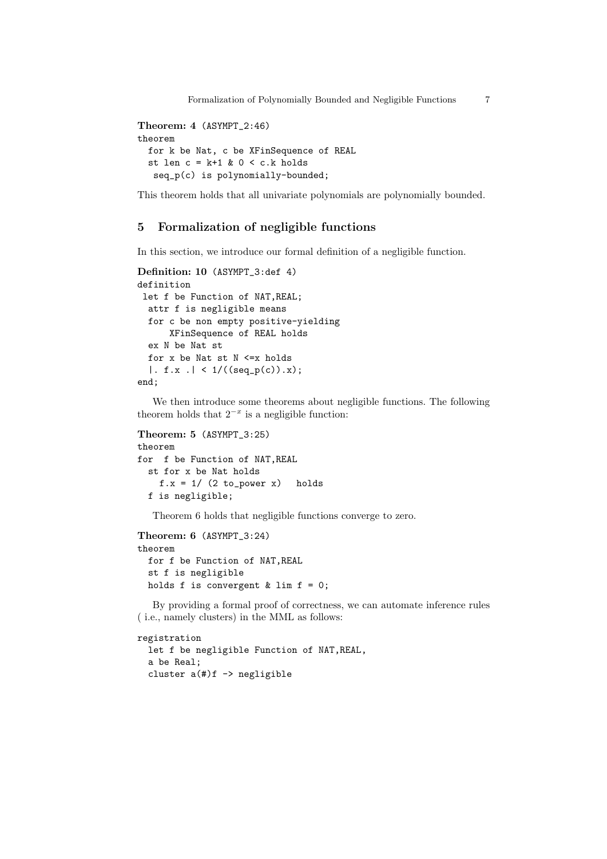```
Theorem: 4 (ASYMPT_2:46)
theorem
 for k be Nat, c be XFinSequence of REAL
 st len c = k+1 & 0 < c.k holds
   seq_p(c) is polynomially-bounded;
```
This theorem holds that all univariate polynomials are polynomially bounded.

# **5 Formalization of negligible functions**

In this section, we introduce our formal definition of a negligible function.

```
Definition: 10 (ASYMPT_3:def 4)
definition
 let f be Function of NAT,REAL;
  attr f is negligible means
  for c be non empty positive-yielding
      XFinSequence of REAL holds
  ex N be Nat st
  for x be Nat st N <=x holds
  | . f.x . | < 1/((seq_p(c)).x);
end;
```
We then introduce some theorems about negligible functions. The following theorem holds that  $2^{-x}$  is a negligible function:

```
Theorem: 5 (ASYMPT_3:25)
theorem
for f be Function of NAT,REAL
  st for x be Nat holds
    f.x = 1 / (2 to-power x) holds
  f is negligible;
```
Theorem 6 holds that negligible functions converge to zero.

```
Theorem: 6 (ASYMPT_3:24)
theorem
 for f be Function of NAT,REAL
 st f is negligible
 holds f is convergent & lim f = 0;
```
By providing a formal proof of correctness, we can automate inference rules ( i.e., namely clusters) in the MML as follows:

```
registration
```

```
let f be negligible Function of NAT,REAL,
a be Real;
cluster a(#)f -> negligible
```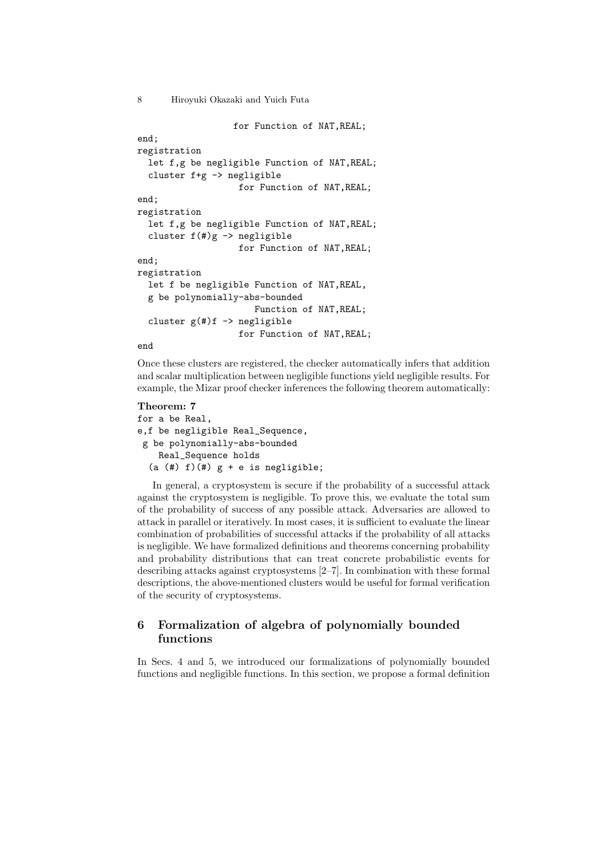```
for Function of NAT,REAL;
end;
registration
  let f,g be negligible Function of NAT,REAL;
  cluster f+g -> negligible
                   for Function of NAT,REAL;
end;
registration
  let f,g be negligible Function of NAT,REAL;
  cluster f(#)g -> negligible
                   for Function of NAT,REAL;
end;
registration
  let f be negligible Function of NAT,REAL,
  g be polynomially-abs-bounded
                      Function of NAT,REAL;
  cluster g(f)f -> negligible
                   for Function of NAT,REAL;
```
end

Once these clusters are registered, the checker automatically infers that addition and scalar multiplication between negligible functions yield negligible results. For example, the Mizar proof checker inferences the following theorem automatically:

#### **Theorem: 7**

```
for a be Real,
e,f be negligible Real_Sequence,
g be polynomially-abs-bounded
   Real_Sequence holds
  (a (#) f)(#) g + e is negligible;
```
In general, a cryptosystem is secure if the probability of a successful attack against the cryptosystem is negligible. To prove this, we evaluate the total sum of the probability of success of any possible attack. Adversaries are allowed to attack in parallel or iteratively. In most cases, it is sufficient to evaluate the linear combination of probabilities of successful attacks if the probability of all attacks is negligible. We have formalized definitions and theorems concerning probability and probability distributions that can treat concrete probabilistic events for describing attacks against cryptosystems [2–7]. In combination with these formal descriptions, the above-mentioned clusters would be useful for formal verification of the security of cryptosystems.

# **6 Formalization of algebra of polynomially bounded functions**

In Secs. 4 and 5, we introduced our formalizations of polynomially bounded functions and negligible functions. In this section, we propose a formal definition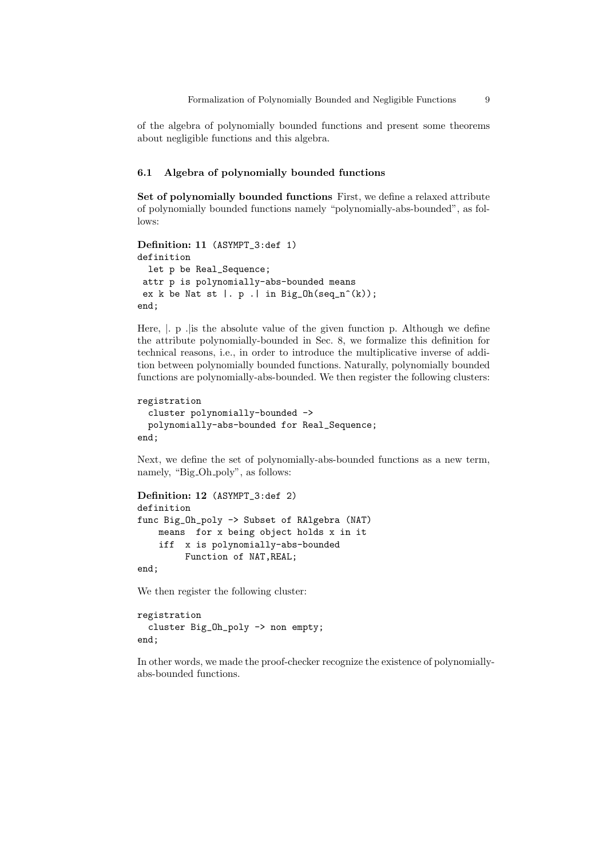of the algebra of polynomially bounded functions and present some theorems about negligible functions and this algebra.

## **6.1 Algebra of polynomially bounded functions**

**Set of polynomially bounded functions** First, we define a relaxed attribute of polynomially bounded functions namely "polynomially-abs-bounded", as fol $lows.$ 

```
Definition: 11 (ASYMPT_3:def 1)
definition
 let p be Real_Sequence;
attr p is polynomially-abs-bounded means
ex k be Nat st |. p .| in Big_Oh(seq_n^(k));
end;
```
Here,  $\vert$ . p . is the absolute value of the given function p. Although we define the attribute polynomially-bounded in Sec. 8, we formalize this definition for technical reasons, i.e., in order to introduce the multiplicative inverse of addition between polynomially bounded functions. Naturally, polynomially bounded functions are polynomially-abs-bounded. We then register the following clusters:

```
registration
```

```
cluster polynomially-bounded ->
 polynomially-abs-bounded for Real_Sequence;
end;
```
Next, we define the set of polynomially-abs-bounded functions as a new term, namely, "Big\_Oh\_poly", as follows:

```
Definition: 12 (ASYMPT_3:def 2)
definition
func Big_Oh_poly -> Subset of RAlgebra (NAT)
   means for x being object holds x in it
   iff x is polynomially-abs-bounded
         Function of NAT,REAL;
```
end;

We then register the following cluster:

```
registration
 cluster Big_Oh_poly -> non empty;
end;
```
In other words, we made the proof-checker recognize the existence of polynomiallyabs-bounded functions.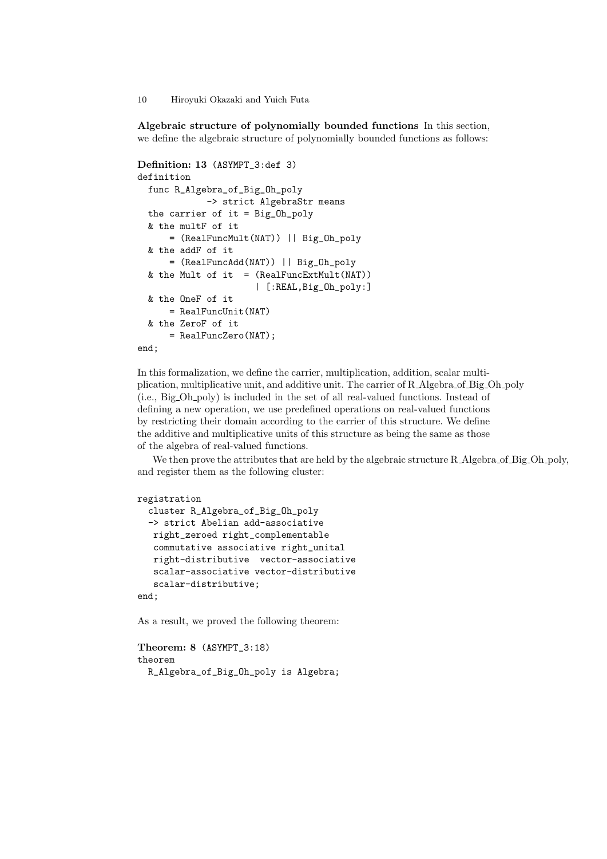**Algebraic structure of polynomially bounded functions** In this section, we define the algebraic structure of polynomially bounded functions as follows:

```
Definition: 13 (ASYMPT_3:def 3)
definition
 func R_Algebra_of_Big_Oh_poly
             -> strict AlgebraStr means
 the carrier of it = Big_Oh_poly
 & the multF of it
     = (RealFuncMult(NAT)) || Big_Oh_poly
 & the addF of it
     = (RealFuncAdd(NAT)) || Big_Oh_poly
 & the Mult of it = (RealFuncExtMulti(NAT))| [:REAL,Big_Oh_poly:]
 & the OneF of it
     = RealFuncUnit(NAT)
 & the ZeroF of it
     = RealFuncZero(NAT);
end;
```
In this formalization, we define the carrier, multiplication, addition, scalar multiplication, multiplicative unit, and additive unit. The carrier of R Algebra of Big Oh poly (i.e., Big Oh poly) is included in the set of all real-valued functions. Instead of defining a new operation, we use predefined operations on real-valued functions by restricting their domain according to the carrier of this structure. We define the additive and multiplicative units of this structure as being the same as those of the algebra of real-valued functions.

We then prove the attributes that are held by the algebraic structure R\_Algebra\_of\_Big\_Oh\_poly, and register them as the following cluster:

```
registration
  cluster R_Algebra_of_Big_Oh_poly
  -> strict Abelian add-associative
  right_zeroed right_complementable
   commutative associative right_unital
   right-distributive vector-associative
   scalar-associative vector-distributive
   scalar-distributive;
end;
```
As a result, we proved the following theorem:

```
Theorem: 8 (ASYMPT_3:18)
theorem
 R_Algebra_of_Big_Oh_poly is Algebra;
```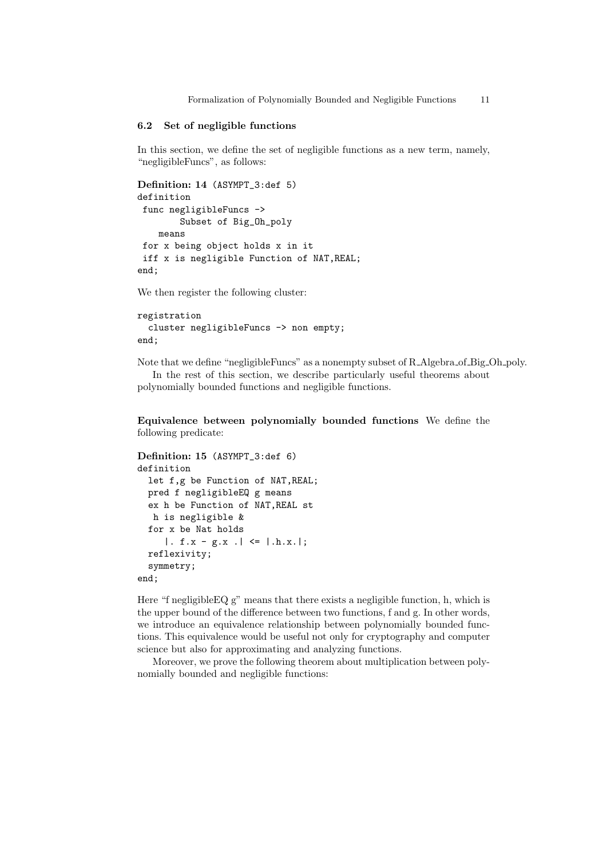Formalization of Polynomially Bounded and Negligible Functions 11

#### **6.2 Set of negligible functions**

In this section, we define the set of negligible functions as a new term, namely, "negligibleFuncs", as follows:

```
Definition: 14 (ASYMPT_3:def 5)
definition
func negligibleFuncs ->
        Subset of Big_Oh_poly
    means
for x being object holds x in it
 iff x is negligible Function of NAT,REAL;
end;
```
We then register the following cluster:

```
registration
  cluster negligibleFuncs -> non empty;
end;
```
Note that we define "negligibleFuncs" as a nonempty subset of R Algebra of Big Oh poly. In the rest of this section, we describe particularly useful theorems about polynomially bounded functions and negligible functions.

**Equivalence between polynomially bounded functions** We define the following predicate:

```
Definition: 15 (ASYMPT_3:def 6)
definition
  let f,g be Function of NAT,REAL;
  pred f negligibleEQ g means
  ex h be Function of NAT,REAL st
  h is negligible &
  for x be Nat holds
     |. f.x - g.x . | \le | .h.x.|;
 reflexivity;
  symmetry;
end;
```
Here "f negligibleEQ g" means that there exists a negligible function, h, which is the upper bound of the difference between two functions, f and g. In other words, we introduce an equivalence relationship between polynomially bounded functions. This equivalence would be useful not only for cryptography and computer science but also for approximating and analyzing functions.

Moreover, we prove the following theorem about multiplication between polynomially bounded and negligible functions: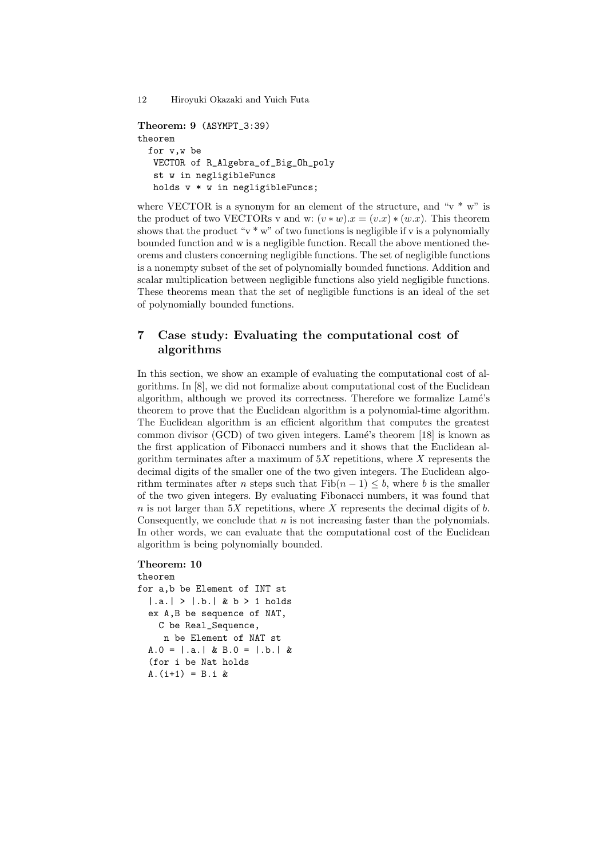```
Theorem: 9 (ASYMPT_3:39)
theorem
 for v,w be
  VECTOR of R_Algebra_of_Big_Oh_poly
  st w in negligibleFuncs
  holds v * w in negligibleFuncs;
```
where VECTOR is a synonym for an element of the structure, and " $v * w$ " is the product of two VECTORs v and w:  $(v * w) \cdot x = (v \cdot x) * (w \cdot x)$ . This theorem shows that the product " $v * w$ " of two functions is negligible if v is a polynomially bounded function and w is a negligible function. Recall the above mentioned theorems and clusters concerning negligible functions. The set of negligible functions is a nonempty subset of the set of polynomially bounded functions. Addition and scalar multiplication between negligible functions also yield negligible functions. These theorems mean that the set of negligible functions is an ideal of the set of polynomially bounded functions.

# **7 Case study: Evaluating the computational cost of algorithms**

In this section, we show an example of evaluating the computational cost of algorithms. In [8], we did not formalize about computational cost of the Euclidean algorithm, although we proved its correctness. Therefore we formalize Lamé's theorem to prove that the Euclidean algorithm is a polynomial-time algorithm. The Euclidean algorithm is an efficient algorithm that computes the greatest common divisor (GCD) of two given integers. Lamé's theorem  $[18]$  is known as the first application of Fibonacci numbers and it shows that the Euclidean algorithm terminates after a maximum of 5*X* repetitions, where *X* represents the decimal digits of the smaller one of the two given integers. The Euclidean algorithm terminates after *n* steps such that  $\text{Fib}(n-1) \leq b$ , where *b* is the smaller of the two given integers. By evaluating Fibonacci numbers, it was found that  $n$  is not larger than  $5X$  repetitions, where  $X$  represents the decimal digits of  $b$ . Consequently, we conclude that *n* is not increasing faster than the polynomials. In other words, we can evaluate that the computational cost of the Euclidean algorithm is being polynomially bounded.

#### **Theorem: 10**

```
theorem
for a,b be Element of INT st
  |.a.| > |.b.| & b > 1 holds
  ex A,B be sequence of NAT,
    C be Real_Sequence,
     n be Element of NAT st
  A.0 = | .a. | & B.0 = | .b. | &(for i be Nat holds
  A.(i+1) = B.i &
```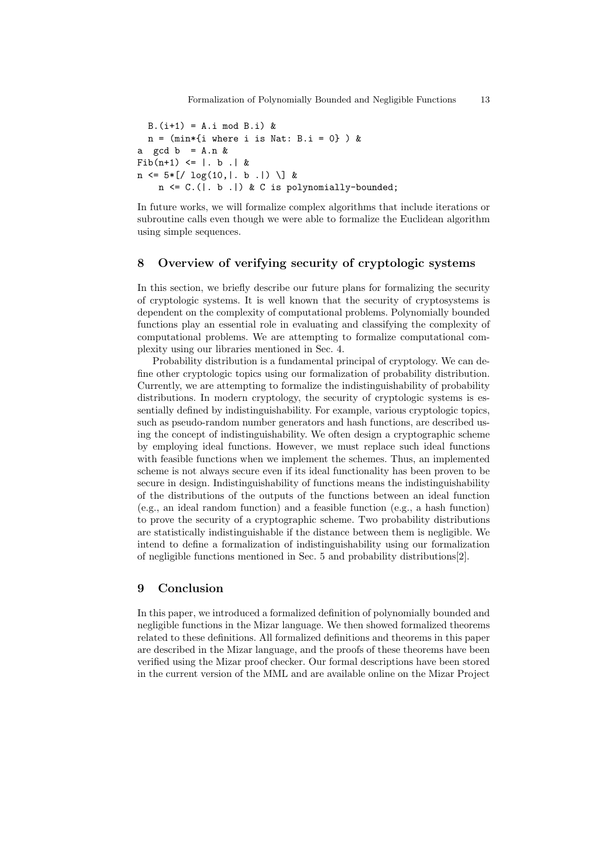$B.(i+1) = A.i \mod B.i)$  &  $n = (min*{i where i is Nat: B.i = 0})$  & a gcd  $b = A.n &$  $Fib(n+1) \leq | b | b |$  $n \le 5*[/ \log(10, |. b. |) \setminus ] k$  $n \leq C.$  (|. b .|) & C is polynomially-bounded;

In future works, we will formalize complex algorithms that include iterations or subroutine calls even though we were able to formalize the Euclidean algorithm using simple sequences.

# **8 Overview of verifying security of cryptologic systems**

In this section, we briefly describe our future plans for formalizing the security of cryptologic systems. It is well known that the security of cryptosystems is dependent on the complexity of computational problems. Polynomially bounded functions play an essential role in evaluating and classifying the complexity of computational problems. We are attempting to formalize computational complexity using our libraries mentioned in Sec. 4.

Probability distribution is a fundamental principal of cryptology. We can define other cryptologic topics using our formalization of probability distribution. Currently, we are attempting to formalize the indistinguishability of probability distributions. In modern cryptology, the security of cryptologic systems is essentially defined by indistinguishability. For example, various cryptologic topics, such as pseudo-random number generators and hash functions, are described using the concept of indistinguishability. We often design a cryptographic scheme by employing ideal functions. However, we must replace such ideal functions with feasible functions when we implement the schemes. Thus, an implemented scheme is not always secure even if its ideal functionality has been proven to be secure in design. Indistinguishability of functions means the indistinguishability of the distributions of the outputs of the functions between an ideal function (e.g., an ideal random function) and a feasible function (e.g., a hash function) to prove the security of a cryptographic scheme. Two probability distributions are statistically indistinguishable if the distance between them is negligible. We intend to define a formalization of indistinguishability using our formalization of negligible functions mentioned in Sec. 5 and probability distributions[2].

# **9 Conclusion**

In this paper, we introduced a formalized definition of polynomially bounded and negligible functions in the Mizar language. We then showed formalized theorems related to these definitions. All formalized definitions and theorems in this paper are described in the Mizar language, and the proofs of these theorems have been verified using the Mizar proof checker. Our formal descriptions have been stored in the current version of the MML and are available online on the Mizar Project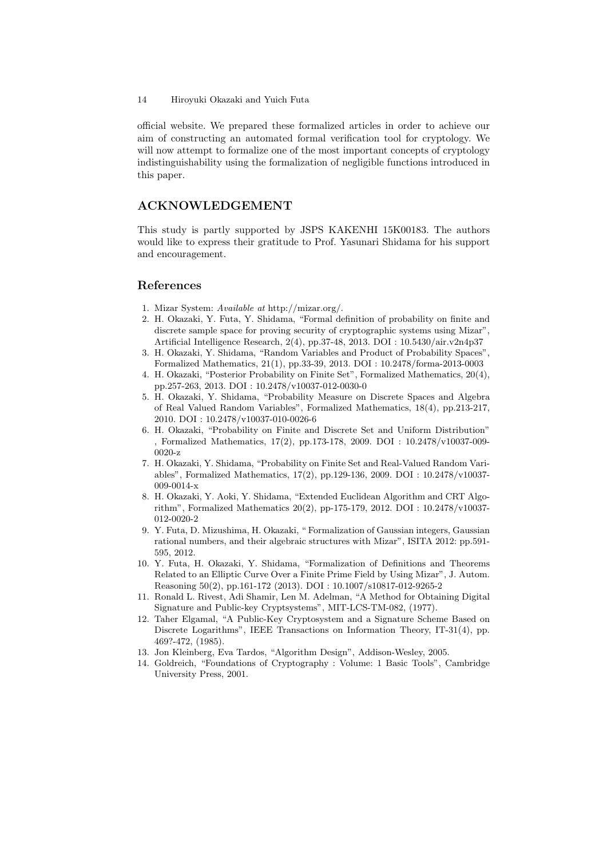official website. We prepared these formalized articles in order to achieve our aim of constructing an automated formal verification tool for cryptology. We will now attempt to formalize one of the most important concepts of cryptology indistinguishability using the formalization of negligible functions introduced in this paper.

# **ACKNOWLEDGEMENT**

This study is partly supported by JSPS KAKENHI 15K00183. The authors would like to express their gratitude to Prof. Yasunari Shidama for his support and encouragement.

### **References**

- 1. Mizar System: *Available at* http://mizar.org/.
- 2. H. Okazaki, Y. Futa, Y. Shidama, "Formal definition of probability on finite and discrete sample space for proving security of cryptographic systems using Mizar", Artificial Intelligence Research, 2(4), pp.37-48, 2013. DOI : 10.5430/air.v2n4p37
- 3. H. Okazaki, Y. Shidama, "Random Variables and Product of Probability Spaces", Formalized Mathematics, 21(1), pp.33-39, 2013. DOI : 10.2478/forma-2013-0003
- 4. H. Okazaki, "Posterior Probability on Finite Set", Formalized Mathematics, 20(4), pp.257-263, 2013. DOI : 10.2478/v10037-012-0030-0
- 5. H. Okazaki, Y. Shidama, "Probability Measure on Discrete Spaces and Algebra of Real Valued Random Variables", Formalized Mathematics, 18(4), pp.213-217, 2010. DOI : 10.2478/v10037-010-0026-6
- 6. H. Okazaki, "Probability on Finite and Discrete Set and Uniform Distribution" , Formalized Mathematics, 17(2), pp.173-178, 2009. DOI : 10.2478/v10037-009- 0020-z
- 7. H. Okazaki, Y. Shidama, "Probability on Finite Set and Real-Valued Random Variables", Formalized Mathematics, 17(2), pp.129-136, 2009. DOI : 10.2478/v10037- 009-0014-x
- 8. H. Okazaki, Y. Aoki, Y. Shidama, "Extended Euclidean Algorithm and CRT Algorithm", Formalized Mathematics 20(2), pp-175-179, 2012. DOI : 10.2478/v10037- 012-0020-2
- 9. Y. Futa, D. Mizushima, H. Okazaki, " Formalization of Gaussian integers, Gaussian rational numbers, and their algebraic structures with Mizar", ISITA 2012: pp.591- 595, 2012.
- 10. Y. Futa, H. Okazaki, Y. Shidama, "Formalization of Definitions and Theorems Related to an Elliptic Curve Over a Finite Prime Field by Using Mizar", J. Autom. Reasoning 50(2), pp.161-172 (2013). DOI : 10.1007/s10817-012-9265-2
- 11. Ronald L. Rivest, Adi Shamir, Len M. Adelman, "A Method for Obtaining Digital Signature and Public-key Cryptsystems", MIT-LCS-TM-082, (1977).
- 12. Taher Elgamal, "A Public-Key Cryptosystem and a Signature Scheme Based on Discrete Logarithms", IEEE Transactions on Information Theory, IT-31(4), pp. 469?-472, (1985).
- 13. Jon Kleinberg, Eva Tardos, "Algorithm Design", Addison-Wesley, 2005.
- 14. Goldreich, "Foundations of Cryptography : Volume: 1 Basic Tools", Cambridge University Press, 2001.